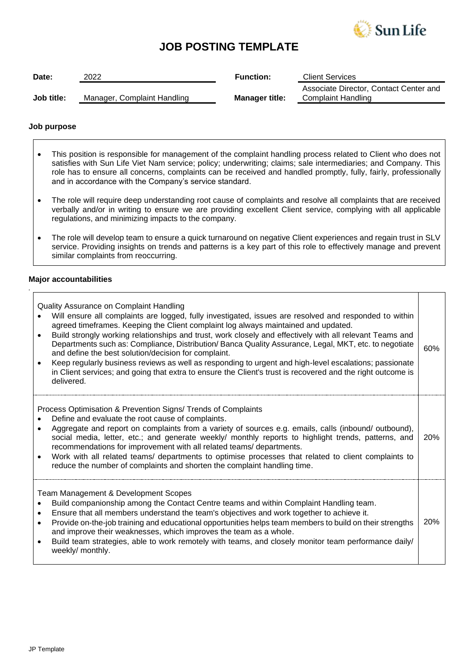

# **JOB POSTING TEMPLATE**

| Date:      | 2022                        | <b>Function:</b>      | <b>Client Services</b>                                       |
|------------|-----------------------------|-----------------------|--------------------------------------------------------------|
| Job title: | Manager, Complaint Handling | <b>Manager title:</b> | Associate Director, Contact Center and<br>Complaint Handling |

## **Job purpose**

- This position is responsible for management of the complaint handling process related to Client who does not satisfies with Sun Life Viet Nam service; policy; underwriting; claims; sale intermediaries; and Company. This role has to ensure all concerns, complaints can be received and handled promptly, fully, fairly, professionally and in accordance with the Company's service standard.
- The role will require deep understanding root cause of complaints and resolve all complaints that are received verbally and/or in writing to ensure we are providing excellent Client service, complying with all applicable regulations, and minimizing impacts to the company.
- The role will develop team to ensure a quick turnaround on negative Client experiences and regain trust in SLV service. Providing insights on trends and patterns is a key part of this role to effectively manage and prevent similar complaints from reoccurring.

## **Major accountabilities**

*.*

| Quality Assurance on Complaint Handling<br>Will ensure all complaints are logged, fully investigated, issues are resolved and responded to within<br>agreed timeframes. Keeping the Client complaint log always maintained and updated.<br>Build strongly working relationships and trust, work closely and effectively with all relevant Teams and<br>Departments such as: Compliance, Distribution/Banca Quality Assurance, Legal, MKT, etc. to negotiate<br>and define the best solution/decision for complaint.<br>Keep regularly business reviews as well as responding to urgent and high-level escalations; passionate<br>in Client services; and going that extra to ensure the Client's trust is recovered and the right outcome is<br>delivered. | 60%        |
|------------------------------------------------------------------------------------------------------------------------------------------------------------------------------------------------------------------------------------------------------------------------------------------------------------------------------------------------------------------------------------------------------------------------------------------------------------------------------------------------------------------------------------------------------------------------------------------------------------------------------------------------------------------------------------------------------------------------------------------------------------|------------|
| Process Optimisation & Prevention Signs/ Trends of Complaints<br>Define and evaluate the root cause of complaints.<br>Aggregate and report on complaints from a variety of sources e.g. emails, calls (inbound/ outbound),<br>social media, letter, etc.; and generate weekly/ monthly reports to highlight trends, patterns, and<br>recommendations for improvement with all related teams/departments.<br>Work with all related teams/ departments to optimise processes that related to client complaints to<br>reduce the number of complaints and shorten the complaint handling time.                                                                                                                                                                | <b>20%</b> |
| Team Management & Development Scopes<br>Build companionship among the Contact Centre teams and within Complaint Handling team.<br>Ensure that all members understand the team's objectives and work together to achieve it.<br>Provide on-the-job training and educational opportunities helps team members to build on their strengths<br>$\bullet$<br>and improve their weaknesses, which improves the team as a whole.<br>Build team strategies, able to work remotely with teams, and closely monitor team performance daily/<br>weekly/ monthly.                                                                                                                                                                                                      | <b>20%</b> |